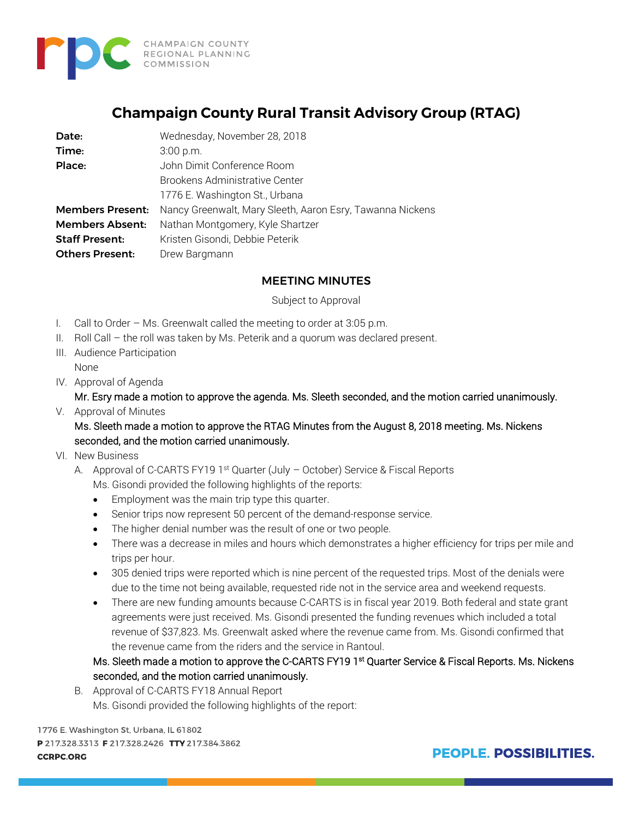

## **Champaign County Rural Transit Advisory Group (RTAG)**

| Date:                   | Wednesday, November 28, 2018                              |
|-------------------------|-----------------------------------------------------------|
| Time:                   | 3:00 p.m.                                                 |
| Place:                  | John Dimit Conference Room                                |
|                         | Brookens Administrative Center                            |
|                         | 1776 E. Washington St., Urbana                            |
| <b>Members Present:</b> | Nancy Greenwalt, Mary Sleeth, Aaron Esry, Tawanna Nickens |
| <b>Members Absent:</b>  | Nathan Montgomery, Kyle Shartzer                          |
| <b>Staff Present:</b>   | Kristen Gisondi, Debbie Peterik                           |
| <b>Others Present:</b>  | Drew Bargmann                                             |

## MEETING MINUTES

Subject to Approval

- I. Call to Order Ms. Greenwalt called the meeting to order at 3:05 p.m.
- II. Roll Call the roll was taken by Ms. Peterik and a quorum was declared present.
- III. Audience Participation None
- IV. Approval of Agenda

Mr. Esry made a motion to approve the agenda. Ms. Sleeth seconded, and the motion carried unanimously.

V. Approval of Minutes

Ms. Sleeth made a motion to approve the RTAG Minutes from the August 8, 2018 meeting. Ms. Nickens seconded, and the motion carried unanimously.

- VI. New Business
	- A. Approval of C-CARTS FY19 1<sup>st</sup> Quarter (July October) Service & Fiscal Reports Ms. Gisondi provided the following highlights of the reports:
		- Employment was the main trip type this quarter.
		- Senior trips now represent 50 percent of the demand-response service.
		- The higher denial number was the result of one or two people.
		- There was a decrease in miles and hours which demonstrates a higher efficiency for trips per mile and trips per hour.
		- 305 denied trips were reported which is nine percent of the requested trips. Most of the denials were due to the time not being available, requested ride not in the service area and weekend requests.
		- There are new funding amounts because C-CARTS is in fiscal year 2019. Both federal and state grant agreements were just received. Ms. Gisondi presented the funding revenues which included a total revenue of \$37,823. Ms. Greenwalt asked where the revenue came from. Ms. Gisondi confirmed that the revenue came from the riders and the service in Rantoul.

Ms. Sleeth made a motion to approve the C-CARTS FY19 1<sup>st</sup> Quarter Service & Fiscal Reports. Ms. Nickens seconded, and the motion carried unanimously.

B. Approval of C-CARTS FY18 Annual Report Ms. Gisondi provided the following highlights of the report:

1776 E. Washington St, Urbana, IL 61802 P 217.328.3313 F 217.328.2426 TTY 217.384.3862 **CCRPC.ORG** 

**PEOPLE, POSSIBILITIES.**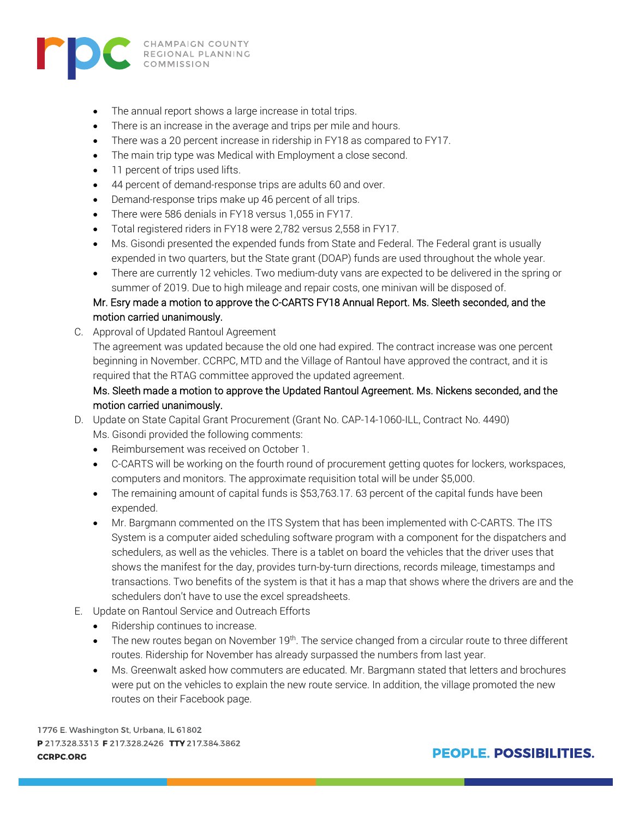

- The annual report shows a large increase in total trips.
- There is an increase in the average and trips per mile and hours.
- There was a 20 percent increase in ridership in FY18 as compared to FY17.
- The main trip type was Medical with Employment a close second.
- 11 percent of trips used lifts.
- 44 percent of demand-response trips are adults 60 and over.
- Demand-response trips make up 46 percent of all trips.
- There were 586 denials in FY18 versus 1,055 in FY17.
- Total registered riders in FY18 were 2,782 versus 2,558 in FY17.
- Ms. Gisondi presented the expended funds from State and Federal. The Federal grant is usually expended in two quarters, but the State grant (DOAP) funds are used throughout the whole year.
- There are currently 12 vehicles. Two medium-duty vans are expected to be delivered in the spring or summer of 2019. Due to high mileage and repair costs, one minivan will be disposed of.

## Mr. Esry made a motion to approve the C-CARTS FY18 Annual Report. Ms. Sleeth seconded, and the motion carried unanimously.

C. Approval of Updated Rantoul Agreement

The agreement was updated because the old one had expired. The contract increase was one percent beginning in November. CCRPC, MTD and the Village of Rantoul have approved the contract, and it is required that the RTAG committee approved the updated agreement.

## Ms. Sleeth made a motion to approve the Updated Rantoul Agreement. Ms. Nickens seconded, and the motion carried unanimously.

- D. Update on State Capital Grant Procurement (Grant No. CAP-14-1060-ILL, Contract No. 4490) Ms. Gisondi provided the following comments:
	- Reimbursement was received on October 1.
	- C-CARTS will be working on the fourth round of procurement getting quotes for lockers, workspaces, computers and monitors. The approximate requisition total will be under \$5,000.
	- The remaining amount of capital funds is \$53,763.17. 63 percent of the capital funds have been expended.
	- Mr. Bargmann commented on the ITS System that has been implemented with C-CARTS. The ITS System is a computer aided scheduling software program with a component for the dispatchers and schedulers, as well as the vehicles. There is a tablet on board the vehicles that the driver uses that shows the manifest for the day, provides turn-by-turn directions, records mileage, timestamps and transactions. Two benefits of the system is that it has a map that shows where the drivers are and the schedulers don't have to use the excel spreadsheets.
- E. Update on Rantoul Service and Outreach Efforts
	- Ridership continues to increase.
	- The new routes began on November  $19<sup>th</sup>$ . The service changed from a circular route to three different routes. Ridership for November has already surpassed the numbers from last year.
	- Ms. Greenwalt asked how commuters are educated. Mr. Bargmann stated that letters and brochures were put on the vehicles to explain the new route service. In addition, the village promoted the new routes on their Facebook page.

1776 E. Washington St, Urbana, IL 61802 P 217.328.3313 F 217.328.2426 TTY 217.384.3862 **CCRPC.ORG** 

**PEOPLE, POSSIBILITIES.**